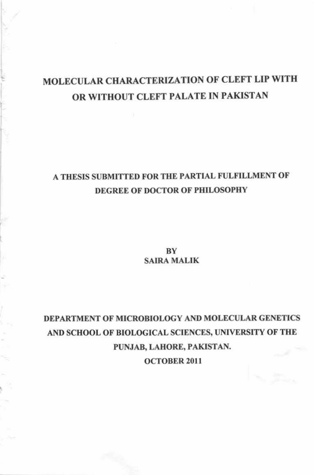# MOLECULAR CHARACTERIZATION OF CLEFT LIP WITH OR WITHOUT CLEFT PALATE IN PAKISTAN

## A THESIS SUBMITTED FOR THE PARTIAL FULFILLMENT OF DEGREE OF DOCTOR OF PHILOSOPHY

 $BY$ **SAIRA MALIK** 

DEPARTMENT OF MICROBIOLOGY AND MOLECULAR GENETICS AND SCHOOL OF BIOLOGICAL SCIENCES, UNIVERSITY OF THE PUNJAB, LAHORE, PAKISTAN. **OCTOBER 2011**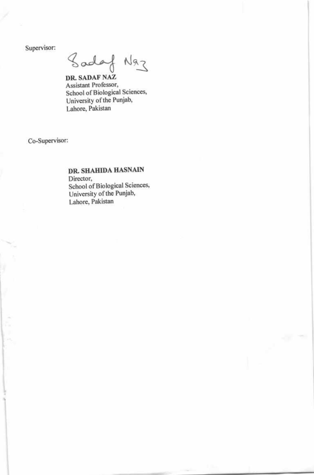Supervisor:

Sadaf Naz

DR. SADAF NAZ Assistant Professor, School of Biological Sciences, University of the Punjab, Lahore, Pakistan

Co-Supervisor:

DR. SHAHIDA HASNAIN Director, School of Biological Sciences, University of the Punjab, Lahore, Pakistan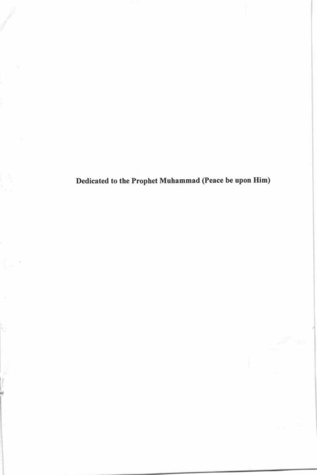Dedicated to the Prophet Muhammad (Peace be upon Him)

f.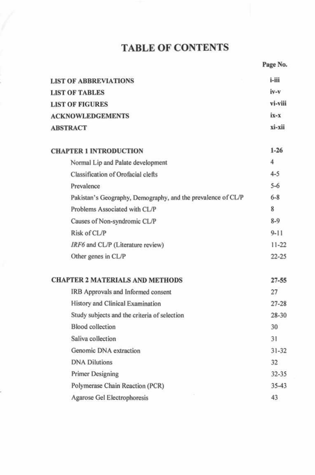# **TABLE OF CONTENTS**

|                                                              | Page No.       |
|--------------------------------------------------------------|----------------|
| <b>LIST OF ABBREVIATIONS</b>                                 | i-iii          |
| <b>LIST OF TABLES</b>                                        | iv-v           |
| <b>LIST OF FIGURES</b>                                       | vi-viii        |
| <b>ACKNOWLEDGEMENTS</b>                                      | ix-x           |
| <b>ABSTRACT</b>                                              | xi-xii         |
| <b>CHAPTER 1 INTRODUCTION</b>                                | $1 - 26$       |
| Normal Lip and Palate development                            | $\overline{4}$ |
| Classification of Orofacial clefts                           | $4 - 5$        |
| Prevalence                                                   | $5 - 6$        |
| Pakistan's Geography, Demography, and the prevalence of CL/P | $6 - 8$        |
| Problems Associated with CL/P                                | 8              |
| Causes of Non-syndromic CL/P                                 | $8-9$          |
| Risk of CL/P                                                 | $9 - 11$       |
| IRF6 and CL/P (Literature review)                            | $11 - 22$      |
| Other genes in CL/P                                          | $22 - 25$      |
| <b>CHAPTER 2 MATERIALS AND METHODS</b>                       | $27 - 55$      |
| IRB Approvals and Informed consent                           | 27             |
| History and Clinical Examination                             | $27 - 28$      |
| Study subjects and the criteria of selection                 | 28-30          |
| <b>Blood</b> collection                                      | 30             |
| Saliva collection                                            | 31             |
| Genomic DNA extraction                                       | $31 - 32$      |
| <b>DNA Dilutions</b>                                         | 32             |
| Primer Designing                                             | 32-35          |
| Polymerase Chain Reaction (PCR)                              | $35 - 43$      |
| Agarose Gel Electrophoresis                                  | 43             |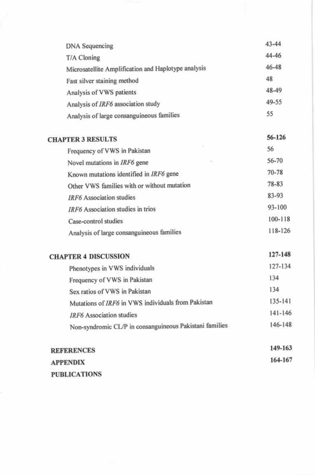| <b>DNA</b> Sequencing                                   | $43 - 44$   |
|---------------------------------------------------------|-------------|
| T/A Cloning                                             | 44-46       |
| Microsatellite Amplification and Haplotype analysis     | 46-48       |
| Fast silver staining method                             | 48          |
| Analysis of VWS patients                                | 48-49       |
| Analysis of IRF6 association study                      | 49-55       |
| Analysis of large consanguineous families               | 55          |
| <b>CHAPTER 3 RESULTS</b>                                | 56-126      |
| Frequency of VWS in Pakistan                            | 56          |
| Novel mutations in IRF6 gene                            | 56-70       |
| Known mutations identified in IRF6 gene                 | 70-78       |
| Other VWS families with or without mutation             | 78-83       |
| <b>IRF6</b> Association studies                         | 83-93       |
| IRF6 Association studies in trios                       | $93 - 100$  |
| Case-control studies                                    | 100-118     |
| Analysis of large consanguineous families               | 118-126     |
| <b>CHAPTER 4 DISCUSSION</b>                             | 127-148     |
| Phenotypes in VWS individuals                           | 127-134     |
| Frequency of VWS in Pakistan                            | 134         |
| Sex ratios of VWS in Pakistan                           | 134         |
| Mutations of IRF6 in VWS individuals from Pakistan      | $135 - 141$ |
| <b>IRF6</b> Association studies                         | $141 - 146$ |
| Non-syndromic CL/P in consanguineous Pakistani families | 146-148     |
| <b>REFERENCES</b>                                       | 149-163     |
| <b>APPENDIX</b>                                         | 164-167     |
| <b>PUBLICATIONS</b>                                     |             |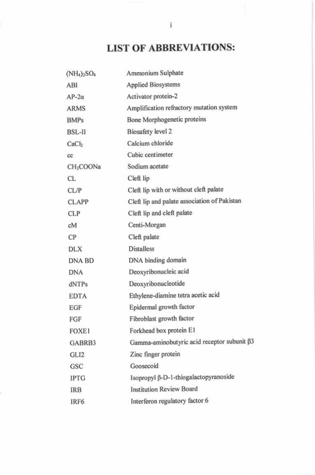## **LIST OF ABBREVIATIONS:**

| $(NH_4)_2SO_4$        | Ammonium Sulphate                            |
|-----------------------|----------------------------------------------|
| ABI                   | <b>Applied Biosystems</b>                    |
| $AP-2\alpha$          | Activator protein-2                          |
| <b>ARMS</b>           | Amplification refractory mutation system     |
| <b>BMPs</b>           | Bone Morphogenetic proteins                  |
| <b>BSL-II</b>         | Biosafety level 2                            |
| CaCl <sub>2</sub>     | Calcium chloride                             |
| cc                    | Cubic centimeter                             |
| CH <sub>3</sub> COONa | Sodium acetate                               |
| <b>CL</b>             | Cleft lip                                    |
| CL/P                  | Cleft lip with or without cleft palate       |
| <b>CLAPP</b>          | Cleft lip and palate association of Pakistan |
| <b>CLP</b>            | Cleft lip and cleft palate                   |
| cM                    | Centi-Morgan                                 |
| CP                    | Cleft palate                                 |
| <b>DLX</b>            | <b>Distalless</b>                            |
| <b>DNA BD</b>         | DNA binding domain                           |
| <b>DNA</b>            | Deoxyribonucleic acid                        |
| dNTPs                 | Deoxyribonucleotide                          |
| <b>EDTA</b>           | Ethylene-diamine tetra acetic acid           |
| EGF                   | Epidermal growth factor                      |
| FGF                   | Fibroblast growth factor                     |
| <b>FOXE1</b>          | Forkhead box protein E1                      |
| GABRB3                | Gamma-aminobutyric acid receptor subunit β3  |
| GLI <sub>2</sub>      | Zinc finger protein                          |
| <b>GSC</b>            | Goosecoid                                    |
| <b>IPTG</b>           | Isopropyl β-D-1-thiogalactopyranoside        |
| <b>IRB</b>            | <b>Institution Review Board</b>              |
| IRF6                  | Interferon regulatory factor 6               |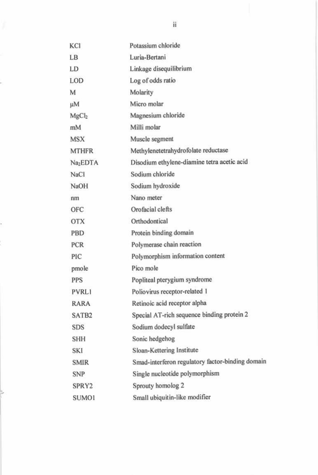| KCI                  | Potassium chloride                               |
|----------------------|--------------------------------------------------|
| LB                   | Luria-Bertani                                    |
| LD                   | Linkage disequilibrium                           |
| LOD                  | Log of odds ratio                                |
| M                    | Molarity                                         |
| μM                   | Micro molar                                      |
| MgCl <sub>2</sub>    | Magnesium chloride                               |
| mM                   | Milli molar                                      |
| <b>MSX</b>           | Muscle segment                                   |
| <b>MTHFR</b>         | Methylenetetrahydrofolate reductase              |
| Na <sub>2</sub> EDTA | Disodium ethylene-diamine tetra acetic acid      |
| NaCl                 | Sodium chloride                                  |
| <b>NaOH</b>          | Sodium hydroxide                                 |
| nm                   | Nano meter                                       |
| OFC                  | Orofacial clefts                                 |
| <b>OTX</b>           | Orthodontical                                    |
| PBD                  | Protein binding domain                           |
| <b>PCR</b>           | Polymerase chain reaction                        |
| PIC                  | Polymorphism information content                 |
| pmole                | Pico mole                                        |
| <b>PPS</b>           | Popliteal pterygium syndrome                     |
| PVRL1                | Poliovirus receptor-related 1                    |
| <b>RARA</b>          | Retinoic acid receptor alpha                     |
| SATB <sub>2</sub>    | Special AT-rich sequence binding protein 2       |
| SDS                  | Sodium dodecyl sulfate                           |
| <b>SHH</b>           | Sonic hedgehog                                   |
| SKI                  | Sloan-Kettering Institute                        |
| <b>SMIR</b>          | Smad-interferon regulatory factor-binding domain |
| <b>SNP</b>           | Single nucleotide polymorphism                   |
| SPRY <sub>2</sub>    | Sprouty homolog 2                                |
| SUMO1                | Small ubiquitin-like modifier                    |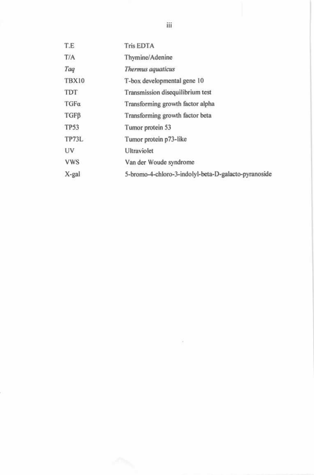| T.E          | <b>Tris EDTA</b>                                     |
|--------------|------------------------------------------------------|
| T/A          | Thymine/Adenine                                      |
| Taq          | Thermus aquaticus                                    |
| <b>TBX10</b> | T-box developmental gene 10                          |
| <b>TDT</b>   | Transmission disequilibrium test                     |
| TGFa         | Transforming growth factor alpha                     |
| TGFB         | Transforming growth factor beta                      |
| <b>TP53</b>  | Tumor protein 53                                     |
| TP73L        | Tumor protein p73-like                               |
| UV           | Ultraviolet                                          |
| <b>VWS</b>   | Van der Woude syndrome                               |
| X-gal        | 5-bromo-4-chloro-3-indolyl-beta-D-galacto-pyranoside |

×

 $\overline{\text{iii}}$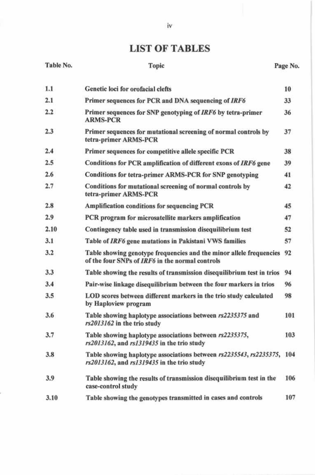# **LIST OF TABLES**

| Table No. | Topic                                                                                                                     | Page No. |
|-----------|---------------------------------------------------------------------------------------------------------------------------|----------|
| 1.1       | Genetic loci for orofacial clefts                                                                                         | 10       |
| 2.1       | Primer sequences for PCR and DNA sequencing of IRF6                                                                       | 33       |
| 2.2       | Primer sequences for SNP genotyping of IRF6 by tetra-primer<br><b>ARMS-PCR</b>                                            | 36       |
| 2.3       | Primer sequences for mutational screening of normal controls by<br>tetra-primer ARMS-PCR                                  | 37       |
| 2.4       | Primer sequences for competitive allele specific PCR                                                                      | 38       |
| 2.5       | Conditions for PCR amplification of different exons of IRF6 gene                                                          | 39       |
| 2.6       | Conditions for tetra-primer ARMS-PCR for SNP genotyping                                                                   | 41       |
| 2.7       | Conditions for mutational screening of normal controls by<br>tetra-primer ARMS-PCR                                        | 42       |
| 2.8       | Amplification conditions for sequencing PCR                                                                               | 45       |
| 2.9       | PCR program for microsatellite markers amplification                                                                      | 47       |
| 2.10      | Contingency table used in transmission disequilibrium test                                                                | 52       |
| 3.1       | Table of IRF6 gene mutations in Pakistani VWS families                                                                    | 57       |
| 3.2       | Table showing genotype frequencies and the minor allele frequencies<br>of the four SNPs of IRF6 in the normal controls    | 92       |
| 3.3       | Table showing the results of transmission disequilibrium test in trios                                                    | 94       |
| 3.4       | Pair-wise linkage disequilibrium between the four markers in trios                                                        | 96       |
| 3.5       | LOD scores between different markers in the trio study calculated<br>by Haploview program                                 | 98       |
| 3.6       | Table showing haplotype associations between rs2235375 and<br>rs2013162 in the trio study                                 | 101      |
| 3.7       | Table showing haplotype associations between rs2235375,<br>rs2013162, and rs1319435 in the trio study                     | 103      |
| 3.8       | Table showing haplotype associations between rs2235543, rs2235375, 104<br>$rs2013162$ , and $rs1319435$ in the trio study |          |
| 3.9       | Table showing the results of transmission disequilibrium test in the<br>case-control study                                | 106      |
| 3.10      | Table showing the genotypes transmitted in cases and controls                                                             | 107      |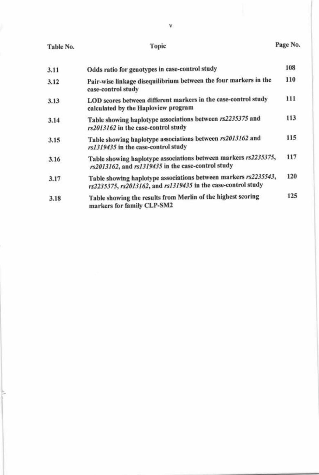### Table No.

## Topic

V

## Page No.

| 3.11 | Odds ratio for genotypes in case-control study                                                                                   | 108 |
|------|----------------------------------------------------------------------------------------------------------------------------------|-----|
| 3.12 | Pair-wise linkage disequilibrium between the four markers in the<br>case-control study                                           | 110 |
| 3.13 | LOD scores between different markers in the case-control study<br>calculated by the Haploview program                            | 111 |
| 3.14 | Table showing haplotype associations between rs2235375 and<br>rs2013162 in the case-control study                                | 113 |
| 3.15 | Table showing haplotype associations between rs2013162 and<br>rs1319435 in the case-control study                                | 115 |
| 3.16 | Table showing haplotype associations between markers rs2235375,<br>rs2013162, and rs1319435 in the case-control study            | 117 |
| 3.17 | Table showing haplotype associations between markers rs2235543,<br>rs2235375, rs2013162, and rs1319435 in the case-control study | 120 |
| 3.18 | Table showing the results from Merlin of the highest scoring<br>markers for family CLP-SM2                                       | 125 |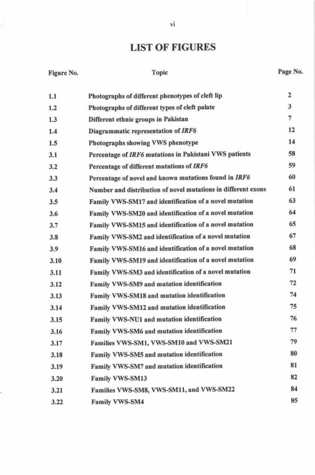## **LIST OF FIGURES**

| Figure No.<br>Topic | Page No. |
|---------------------|----------|
|---------------------|----------|

| 1.1  | Photographs of different phenotypes of cleft lip              | 2              |
|------|---------------------------------------------------------------|----------------|
| 1.2  | Photographs of different types of cleft palate                | 3              |
| 1.3  | Different ethnic groups in Pakistan                           | $\overline{7}$ |
| 1.4  | Diagrammatic representation of IRF6                           | 12             |
| 1.5  | Photographs showing VWS phenotype                             | 14             |
| 3.1  | Percentage of IRF6 mutations in Pakistani VWS patients        | 58             |
| 3.2  | Percentage of different mutations of IRF6                     | 59             |
| 3.3  | Percentage of novel and known mutations found in IRF6         | 60             |
| 3.4  | Number and distribution of novel mutations in different exons | 61             |
| 3.5  | Family VWS-SM17 and identification of a novel mutation        | 63             |
| 3.6  | Family VWS-SM20 and identification of a novel mutation        | 64             |
| 3.7  | Family VWS-SM15 and identification of a novel mutation        | 65             |
| 3.8  | Family VWS-SM2 and identification of a novel mutation         | 67             |
| 3.9  | Family VWS-SM16 and identification of a novel mutation        | 68             |
| 3.10 | Family VWS-SM19 and identification of a novel mutation        | 69             |
| 3.11 | Family VWS-SM3 and identification of a novel mutation         | 71             |
| 3.12 | Family VWS-SM9 and mutation identification                    | 72             |
| 3.13 | Family VWS-SM18 and mutation identification                   | 74             |
| 3.14 | Family VWS-SM12 and mutation identification                   | 75             |
| 3.15 | Family VWS-NU1 and mutation identification                    | 76             |
| 3.16 | Family VWS-SM6 and mutation identification                    | 77             |
| 3.17 | Families VWS-SM1, VWS-SM10 and VWS-SM21                       | 79             |
| 3.18 | Family VWS-SM5 and mutation identification                    | 80             |
| 3.19 | Family VWS-SM7 and mutation identification                    | 81             |
| 3.20 | Family VWS-SM13                                               | 82             |
| 3.21 | Families VWS-SM8, VWS-SM11, and VWS-SM22                      | 84             |
| 3.22 | <b>Family VWS-SM4</b>                                         | 85             |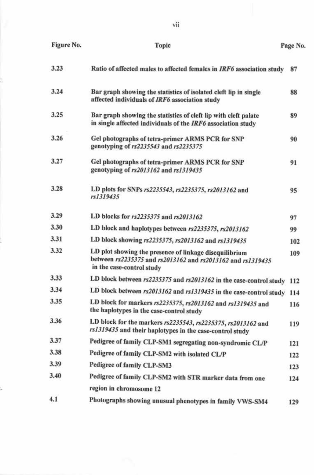| Figure No. | Topic                                                                                                                                              | Page No. |
|------------|----------------------------------------------------------------------------------------------------------------------------------------------------|----------|
| 3.23       | Ratio of affected males to affected females in IRF6 association study                                                                              | 87       |
| 3.24       | Bar graph showing the statistics of isolated cleft lip in single<br>affected individuals of IRF6 association study                                 | 88       |
| 3.25       | Bar graph showing the statistics of cleft lip with cleft palate<br>in single affected individuals of the IRF6 association study                    | 89       |
| 3.26       | Gel photographs of tetra-primer ARMS PCR for SNP<br>genotyping of rs2235543 and rs2235375                                                          | 90       |
| 3.27       | Gel photographs of tetra-primer ARMS PCR for SNP<br>genotyping of rs2013162 and rs1319435                                                          | 91       |
| 3.28       | LD plots for SNPs rs2235543, rs2235375, rs2013162 and<br>rs1319435                                                                                 | 95       |
| 3.29       | LD blocks for rs2235375 and rs2013162                                                                                                              | 97       |
| 3.30       | LD block and haplotypes between rs2235375, rs2013162                                                                                               | 99       |
| 3.31       | LD block showing rs2235375, rs2013162 and rs1319435                                                                                                | 102      |
| 3.32       | LD plot showing the presence of linkage disequilibrium<br>between rs2235375 and rs2013162 and rs2013162 and rs1319435<br>in the case-control study | 109      |
| 3.33       | LD block between rs2235375 and rs2013162 in the case-control study 112                                                                             |          |
| 3.34       | LD block between rs2013162 and rs1319435 in the case-control study 114                                                                             |          |
| 3.35       | LD block for markers rs2235375, rs2013162 and rs1319435 and<br>the haplotypes in the case-control study                                            | 116      |
| 3.36       | LD block for the markers rs2235543, rs2235375, rs2013162 and<br>rs1319435 and their haplotypes in the case-control study                           | 119      |
| 3.37       | Pedigree of family CLP-SM1 segregating non-syndromic CL/P                                                                                          | 121      |
| 3.38       | Pedigree of family CLP-SM2 with isolated CL/P                                                                                                      | 122      |
| 3.39       | Pedigree of family CLP-SM3                                                                                                                         | 123      |
| 3.40       | Pedigree of family CLP-SM2 with STR marker data from one                                                                                           | 124      |
|            | region in chromosome 12                                                                                                                            |          |
| 4.1        | Photographs showing unusual phenotypes in family VWS-SM4                                                                                           | 129      |

vii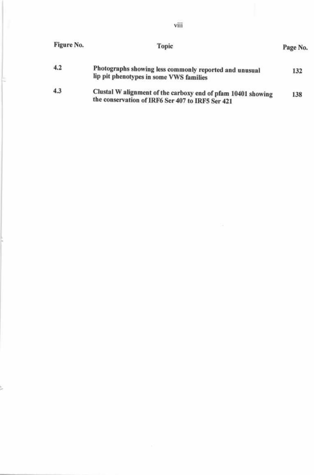| Figure No. | Topic                                                                                                            | Page No. |
|------------|------------------------------------------------------------------------------------------------------------------|----------|
| 4.2        | Photographs showing less commonly reported and unusual<br>lip pit phenotypes in some VWS families                | 132      |
| 4.3        | Clustal W alignment of the carboxy end of pfam 10401 showing<br>the conservation of IRF6 Ser 407 to IRF5 Ser 421 | 138      |

£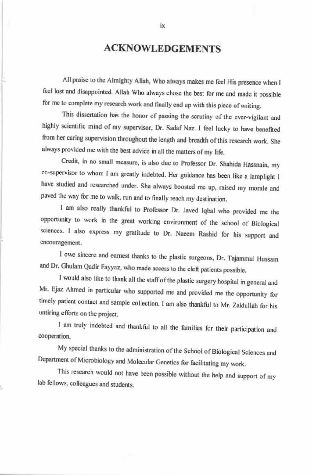## **ACKNOWLEDGEMENTS**

All praise to the Almighty Allah, Who always makes me feel His presence when I feel lost and disappointed. Allah Who always chose the best for me and made it possible for me to complete my research work and finally end up with this piece of writing.

This dissertation has the honor of passing the scrutiny of the ever-vigilant and highly scientific mind of my supervisor, Dr. Sadaf Naz. I feel lucky to have benefited from her caring supervision throughout the length and breadth of this research work. She always provided me with the best advice in all the matters of my life.

Credit, in no small measure, is also due to Professor Dr. Shahida Hassnain, my co-supervisor to whom I am greatly indebted. Her guidance has been like a lamplight I have studied and researched under. She always boosted me up, raised my morale and paved the way for me to walk, run and to finally reach my destination.

I am also really thankful to Professor Dr. Javed Iqbal who provided me the opportunity to work in the great working environment of the school of Biological sciences. I also express my gratitude to Dr. Naeem Rashid for his support and encouragement.

I owe sincere and earnest thanks to the plastic surgeons, Dr. Tajammul Hussain and Dr. Ghulam Qadir Fayyaz, who made access to the cleft patients possible.

I would also like to thank all the staff of the plastic surgery hospital in general and Mr. Ejaz Ahmed in particular who supported me and provided me the opportunity for timely patient contact and sample collection. I am also thankful to Mr. Zaidullah for his untiring efforts on the project.

I am truly indebted and thankful to all the families for their participation and cooperation.

My special thanks to the administration of the School of Biological Sciences and Department of Microbiology and Molecular Genetics for facilitating my work.

This research would not have been possible without the help and support of my lab fellows, colleagues and students.

 $i\mathbf{x}$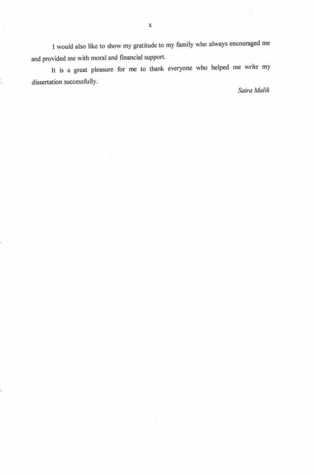I would also like to show my gratitude to my family who always encouraged me and provided me with moral and financial support.

It is a great pleasure for me to thank everyone who helped me write my dissertation successfully.

#### Saira Malik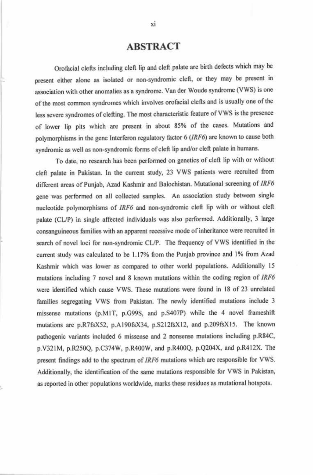#### **ABSTRACT**

Orofacial clefts including cleft lip and cleft palate are birth defects which may be present either alone as isolated or non-syndromic cleft, or they may be present in association with other anomalies as a syndrome. Van der Woude syndrome (VWS) is one of the most common syndromes which involves orofacial clefts and is usually one of the less severe syndromes of clefting. The most characteristic feature of VWS is the presence of lower lip pits which are present in about 85% of the cases. Mutations and polymorphisms in the gene Interferon regulatory factor 6 (IRF6) are known to cause both syndromic as well as non-syndromic forms of cleft lip and/or cleft palate in humans.

To date, no research has been performed on genetics of cleft lip with or without cleft palate in Pakistan. In the current study, 23 VWS patients were recruited from different areas of Punjab, Azad Kashmir and Balochistan. Mutational screening of IRF6 gene was performed on all collected samples. An association study between single nucleotide polymorphisms of IRF6 and non-syndromic cleft lip with or without cleft palate (CL/P) in single affected individuals was also performed. Additionally, 3 large consanguineous families with an apparent recessive mode of inheritance were recruited in search of novel loci for non-syndromic CL/P. The frequency of VWS identified in the current study was calculated to be 1.17% from the Punjab province and 1% from Azad Kashmir which was lower as compared to other world populations. Additionally 15 mutations including 7 novel and 8 known mutations within the coding region of IRF6 were identified which cause VWS. These mutations were found in 18 of 23 unrelated families segregating VWS from Pakistan. The newly identified mutations include 3 missense mutations (p.M1T, p.G99S, and p.S407P) while the 4 novel frameshift mutations are p.R7fsX52, p.A190fsX34, p.S212fsX12, and p.209fsX15. The known pathogenic variants included 6 missense and 2 nonsense mutations including p.R84C, p.V321M, p.R250Q, p.C374W, p.R400W, and p.R400Q, p.Q204X, and p.R412X. The present findings add to the spectrum of IRF6 mutations which are responsible for VWS. Additionally, the identification of the same mutations responsible for VWS in Pakistan, as reported in other populations worldwide, marks these residues as mutational hotspots.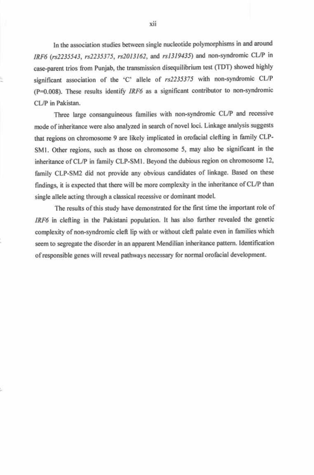In the association studies between single nucleotide polymorphisms in and around IRF6 (rs2235543, rs2235375, rs2013162, and rs1319435) and non-syndromic CL/P in case-parent trios from Punjab, the transmission disequilibrium test (TDT) showed highly significant association of the 'C' allele of rs2235375 with non-syndromic CL/P (P=0.008). These results identify  $IRF6$  as a significant contributor to non-syndromic CL/P in Pakistan.

Three large consanguineous families with non-syndromic CL/P and recessive mode of inheritance were also analyzed in search of novel loci. Linkage analysis suggests that regions on chromosome 9 are likely implicated in orofacial clefting in family CLP-SM1. Other regions, such as those on chromosome 5, may also be significant in the inheritance of CL/P in family CLP-SM1. Beyond the dubious region on chromosome 12, family CLP-SM2 did not provide any obvious candidates of linkage. Based on these findings, it is expected that there will be more complexity in the inheritance of CL/P than single allele acting through a classical recessive or dominant model.

The results of this study have demonstrated for the first time the important role of IRF6 in clefting in the Pakistani population. It has also further revealed the genetic complexity of non-syndromic cleft lip with or without cleft palate even in families which seem to segregate the disorder in an apparent Mendilian inheritance pattern. Identification of responsible genes will reveal pathways necessary for normal orofacial development.